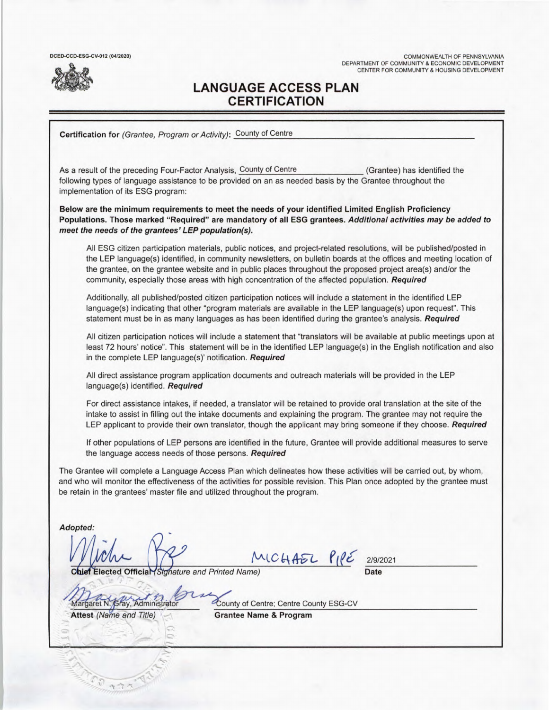DCED-CCD-ESG-CV-012 (04/2020)

COMMONWEALTH OF PENNSYLVANIA DEPARTMENT OF COMMUNITY & ECONOMIC DEVELOPMENT CENTER FOR COMMUNITY & HOUSING DEVELOPMENT

# **LANGUAGE ACCESS PLAN CERTIFICATION**

**Certification for** (Grantee, Program or Activity): County of Centre

As a result of the preceding Four-Factor Analysis, County of Centre (Grantee) has identified the following types of language assistance to be provided on an as needed basis by the Grantee throughout the implementation of its ESG program:

**Below are the minimum requirements to meet the needs of your identified Limited English Proficiency Populations. Those marked "Required" are mandatory of all ESG grantees. Additional activities may be added to meet the needs of the grantees' LEP population(s).** 

All ESG citizen participation materials, public notices, and project-related resolutions, will be published/posted in the LEP language(s) identified, in community newsletters, on bulletin boards at the offices and meeting location of the grantee, on the grantee website and in public places throughout the proposed project area(s) and/or the community, especially those areas with high concentration of the affected population. Required

Additionally, all published/posted citizen participation notices will include a statement in the identified LEP language(s) indicating that other "program materials are available in the LEP language(s) upon request". This statement must be in as many languages as has been identified during the grantee's analysis. **Required** 

All citizen participation notices will include a statement that "translators will be available at public meetings upon at least 72 hours' notice". This statement will be in the identified LEP language(s) in the English notification and also in the complete LEP language(s)' notification. **Required** 

All direct assistance program application documents and outreach materials will be provided in the LEP language(s) identified. **Required** 

For direct assistance intakes, if needed, a translator will be retained to provide oral translation at the site of the intake to assist in filling out the intake documents and explaining the program. The grantee may not require the LEP applicant to provide their own translator, though the applicant may bring someone if they choose. **Required** 

If other populations of LEP persons are identified in the future, Grantee will provide additional measures to serve the language access needs of those persons. **Required** 

The Grantee will complete a Language Access Plan which delineates how these activities will be carried out, by whom, and who will monitor the effectiveness of the activities for possible revision. This Plan once adopted by the grantee must be retain in the grantees' master file and utilized throughout the program.

Adopted:

MICHAEL PIPE

**2/9/2021** 

**lected Official Signature and Printed Name)** Date

Margaret N. Gray, Administrator County of Centre; Centre County ESG-CV

**Attest** (Name and Title) **Grantee Name** & **Program**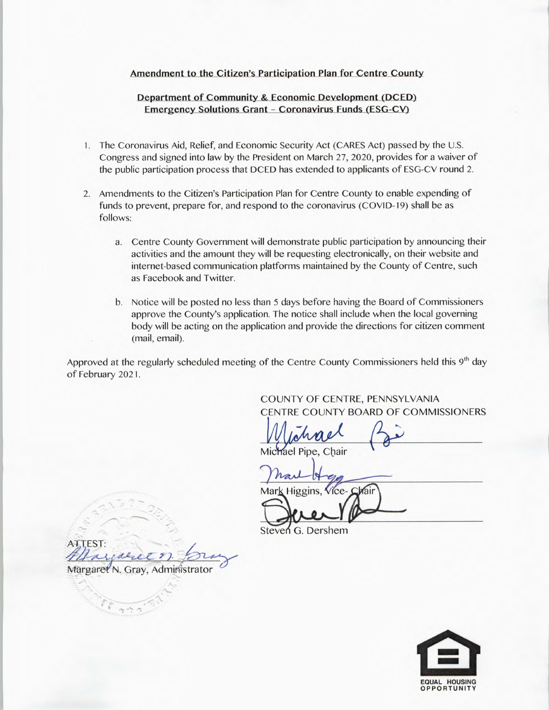#### **Amendment to the Citizen's Participation Plan for Centre County**

#### **Department of Community & Economic Development (DCED) Emergency Solutions Grant - Coronavirus Funds (ESG-CV)**

- 1. The Coronavirus Aid, Relief, and Economic Security Act (CARES Act) passed by the U.S. Congress and signed into law by the President on March 27, 2020, provides for a waiver of the public participation process that DCED has extended to applicants of ESG-CV round 2.
- 2. Amendments to the Citizen's Participation Plan for Centre County to enable expending of funds to prevent, prepare for, and respond to the coronavirus (COVID-19) shall be as follows:
	- a. Centre County Government will demonstrate public participation by announcing their activities and the amount they will be requesting electronically, on their website and internet-based communication platforms maintained by the County of Centre, such as Facebook and Twitter.
	- b. Notice will be posted no less than 5 days before having the Board of Commissioners approve the County's application. The notice shall include when the local governing body will be acting on the application and provide the directions for citizen comment (mail, email).

Approved at the regularly scheduled meeting of the Centre County Commissioners held this  $9<sup>th</sup>$  day of February 202 1.

> COUNTY OF CENTRE, PENNSYLVANIA CENTRE COUNTY BOARD OF COMMISSIONERS

Mic'h'ael Pipe, Chair  $1 \wedge$   $\wedge$   $\wedge$   $\wedge$ 

Mark Higgins, Vice-Chair

Steven G. Dershem

ATTEST: N. Gray, Administrator

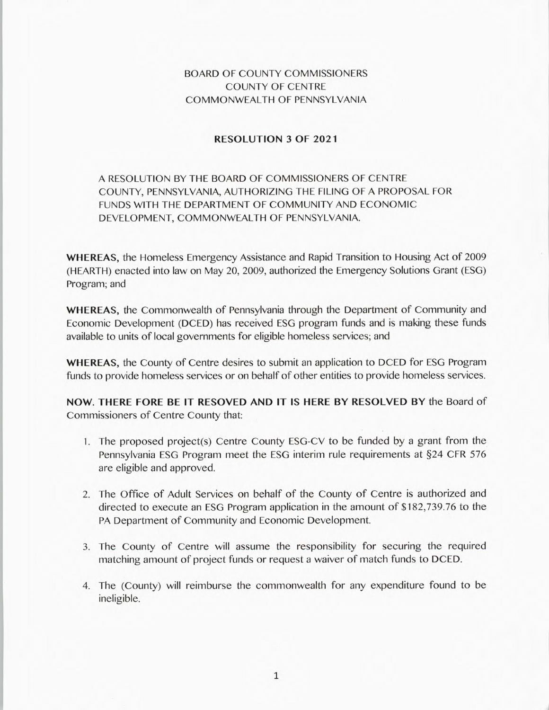## BOARD OF COUNTY COMMISSIONERS COUNTY OF CENTRE COMMONWEALTH OF PENNSYLVANIA

### **RESOLUTION 3 OF 2021**

## A RESOLUTION BY THE BOARD OF COMMISSIONERS OF CENTRE COUNTY, PENNSYLVANIA, AUTHORIZING THE FILING OF A PROPOSAL FOR FUNDS WITH THE DEPARTMENT OF COMMUNITY AND ECONOMIC DEVELOPMENT, COMMONWEALTH OF PENNSYLVANIA.

**WHEREAS,** the Homeless Emergency Assistance and Rapid Transition to Housing Act of 2009 (HEARTH) enacted into law on May 20, 2009, authorized the Emergency Solutions Grant (ESG) Program; and

**WHEREAS,** the Commonwealth of Pennsylvania through the Department of Community and Economic Development (DCED) has received ESG program funds and is making these funds available to units of local governments for eligible homeless services; and

**WHEREAS,** the County of Centre desires to submit an application to DCED for ESG Program funds to provide homeless services or on behalf of other entities to provide homeless services.

**NOW. THERE FORE BE IT RESOVED AND IT IS HERE BY RESOLVED BY** the Board of Commissioners of Centre County that:

- 1. The proposed project(s) Centre County ESG-CV to be funded by a grant from the Pennsylvania ESG Program meet the ESG interim rule requirements at §24 CFR 576 are eligible and approved.
- 2. The Office of Adult Services on behalf of the County of Centre is authorized and directed to execute an ESG Program application in the amount of \$182,739.76 to the PA Department of Community and Economic Development.
- 3. The County of Centre will assume the responsibility for securing the required matching amount of project funds or request a waiver of match funds to DCED.
- 4. The (County) will reimburse the commonwealth for any expenditure found to be ineligible.